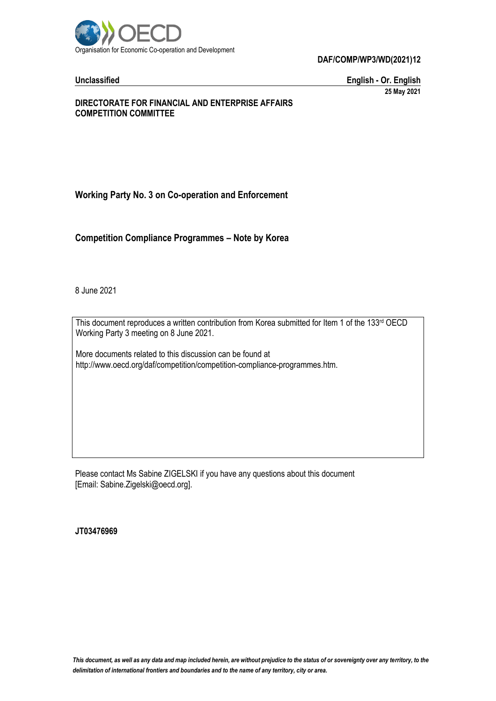

**DAF/COMP/WP3/WD(2021)12**

**Unclassified English - Or. English 25 May 2021**

#### **DIRECTORATE FOR FINANCIAL AND ENTERPRISE AFFAIRS COMPETITION COMMITTEE**

## **Working Party No. 3 on Co-operation and Enforcement**

**Competition Compliance Programmes – Note by Korea**

8 June 2021

This document reproduces a written contribution from Korea submitted for Item 1 of the 133rd OECD Working Party 3 meeting on 8 June 2021.

More documents related to this discussion can be found at http://www.oecd.org/daf/competition/competition-compliance-programmes.htm.

Please contact Ms Sabine ZIGELSKI if you have any questions about this document [Email: Sabine.Zigelski@oecd.org].

**JT03476969**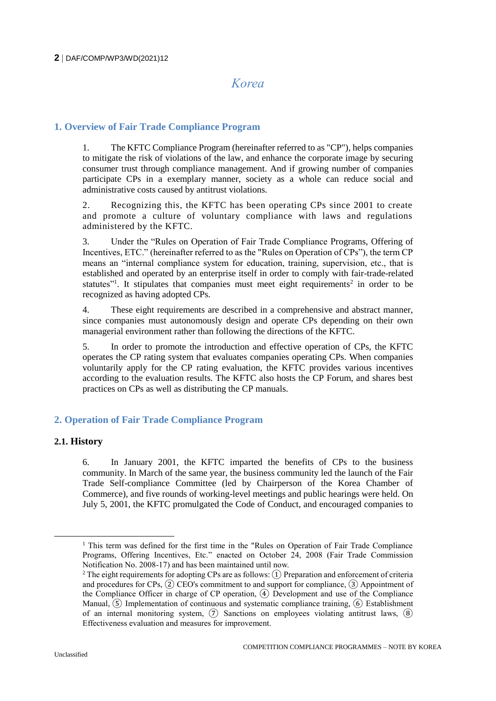# *Korea*

#### **1. Overview of Fair Trade Compliance Program**

1. The KFTC Compliance Program (hereinafter referred to as "CP"), helps companies to mitigate the risk of violations of the law, and enhance the corporate image by securing consumer trust through compliance management. And if growing number of companies participate CPs in a exemplary manner, society as a whole can reduce social and administrative costs caused by antitrust violations.

2. Recognizing this, the KFTC has been operating CPs since 2001 to create and promote a culture of voluntary compliance with laws and regulations administered by the KFTC.

3. Under the "Rules on Operation of Fair Trade Compliance Programs, Offering of Incentives, ETC." (hereinafter referred to as the "Rules on Operation of CPs"), the term CP means an "internal compliance system for education, training, supervision, etc., that is established and operated by an enterprise itself in order to comply with fair-trade-related statutes"<sup>1</sup>. It stipulates that companies must meet eight requirements<sup>2</sup> in order to be recognized as having adopted CPs.

4. These eight requirements are described in a comprehensive and abstract manner, since companies must autonomously design and operate CPs depending on their own managerial environment rather than following the directions of the KFTC.

5. In order to promote the introduction and effective operation of CPs, the KFTC operates the CP rating system that evaluates companies operating CPs. When companies voluntarily apply for the CP rating evaluation, the KFTC provides various incentives according to the evaluation results. The KFTC also hosts the CP Forum, and shares best practices on CPs as well as distributing the CP manuals.

### **2. Operation of Fair Trade Compliance Program**

#### **2.1. History**

6. In January 2001, the KFTC imparted the benefits of CPs to the business community. In March of the same year, the business community led the launch of the Fair Trade Self-compliance Committee (led by Chairperson of the Korea Chamber of Commerce), and five rounds of working-level meetings and public hearings were held. On July 5, 2001, the KFTC promulgated the Code of Conduct, and encouraged companies to

 $\overline{a}$ 

 $<sup>1</sup>$  This term was defined for the first time in the "Rules on Operation of Fair Trade Compliance</sup> Programs, Offering Incentives, Etc." enacted on October 24, 2008 (Fair Trade Commission Notification No. 2008-17) and has been maintained until now.

<sup>&</sup>lt;sup>2</sup> The eight requirements for adopting CPs are as follows:  $(1)$  Preparation and enforcement of criteria and procedures for CPs,  $(2)$  CEO's commitment to and support for compliance,  $(3)$  Appointment of the Compliance Officer in charge of CP operation, ④ Development and use of the Compliance Manual,  $(5)$  Implementation of continuous and systematic compliance training,  $(6)$  Establishment of an internal monitoring system,  $(7)$  Sanctions on employees violating antitrust laws,  $(8)$ Effectiveness evaluation and measures for improvement.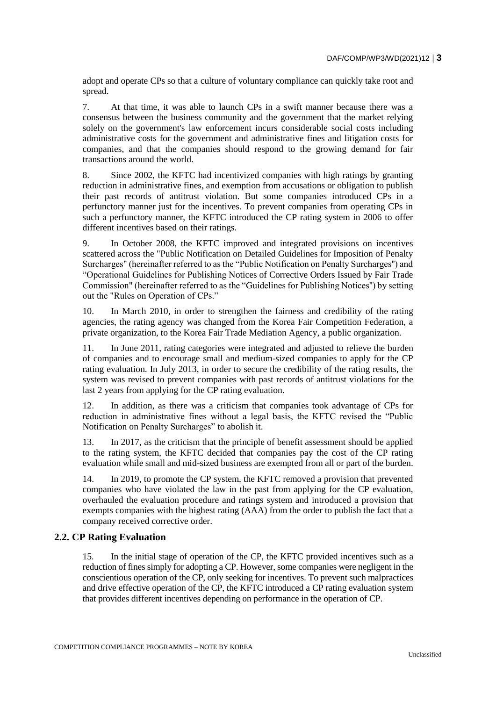adopt and operate CPs so that a culture of voluntary compliance can quickly take root and spread.

7. At that time, it was able to launch CPs in a swift manner because there was a consensus between the business community and the government that the market relying solely on the government's law enforcement incurs considerable social costs including administrative costs for the government and administrative fines and litigation costs for companies, and that the companies should respond to the growing demand for fair transactions around the world.

8. Since 2002, the KFTC had incentivized companies with high ratings by granting reduction in administrative fines, and exemption from accusations or obligation to publish their past records of antitrust violation. But some companies introduced CPs in a perfunctory manner just for the incentives. To prevent companies from operating CPs in such a perfunctory manner, the KFTC introduced the CP rating system in 2006 to offer different incentives based on their ratings.

9. In October 2008, the KFTC improved and integrated provisions on incentives scattered across the "Public Notification on Detailed Guidelines for Imposition of Penalty Surcharges" (hereinafter referred to as the "Public Notification on Penalty Surcharges'') and "Operational Guidelines for Publishing Notices of Corrective Orders Issued by Fair Trade Commission" (hereinafter referred to as the "Guidelines for Publishing Notices'') by setting out the "Rules on Operation of CPs."

10. In March 2010, in order to strengthen the fairness and credibility of the rating agencies, the rating agency was changed from the Korea Fair Competition Federation, a private organization, to the Korea Fair Trade Mediation Agency, a public organization.

11. In June 2011, rating categories were integrated and adjusted to relieve the burden of companies and to encourage small and medium-sized companies to apply for the CP rating evaluation. In July 2013, in order to secure the credibility of the rating results, the system was revised to prevent companies with past records of antitrust violations for the last 2 years from applying for the CP rating evaluation.

12. In addition, as there was a criticism that companies took advantage of CPs for reduction in administrative fines without a legal basis, the KFTC revised the "Public Notification on Penalty Surcharges" to abolish it.

13. In 2017, as the criticism that the principle of benefit assessment should be applied to the rating system, the KFTC decided that companies pay the cost of the CP rating evaluation while small and mid-sized business are exempted from all or part of the burden.

14. In 2019, to promote the CP system, the KFTC removed a provision that prevented companies who have violated the law in the past from applying for the CP evaluation, overhauled the evaluation procedure and ratings system and introduced a provision that exempts companies with the highest rating (AAA) from the order to publish the fact that a company received corrective order.

#### **2.2. CP Rating Evaluation**

15. In the initial stage of operation of the CP, the KFTC provided incentives such as a reduction of fines simply for adopting a CP. However, some companies were negligent in the conscientious operation of the CP, only seeking for incentives. To prevent such malpractices and drive effective operation of the CP, the KFTC introduced a CP rating evaluation system that provides different incentives depending on performance in the operation of CP.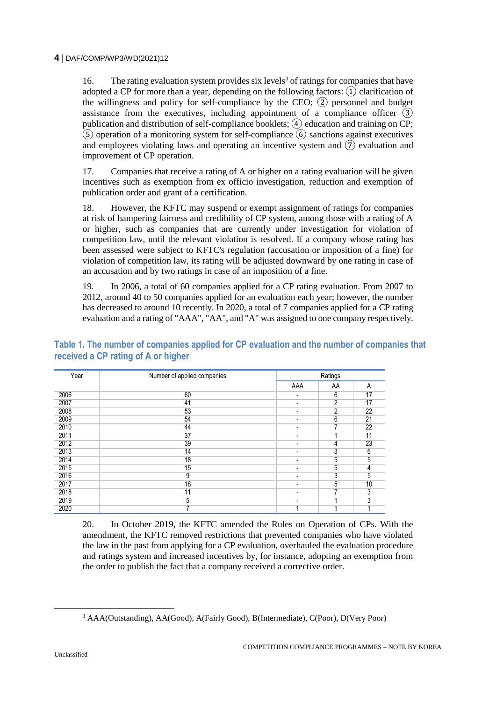16. The rating evaluation system provides six levels<sup>3</sup> of ratings for companies that have adopted a CP for more than a year, depending on the following factors:  $\Omega$  clarification of the willingness and policy for self-compliance by the CEO;  $(2)$  personnel and budget assistance from the executives, including appointment of a compliance officer  $\overline{3}$ publication and distribution of self-compliance booklets;  $\widehat{A}$  education and training on CP;  $\tilde{S}$  operation of a monitoring system for self-compliance  $\tilde{G}$  sanctions against executives and employees violating laws and operating an incentive system and  $(\overline{7})$  evaluation and improvement of CP operation.

17. Companies that receive a rating of A or higher on a rating evaluation will be given incentives such as exemption from ex officio investigation, reduction and exemption of publication order and grant of a certification.

18. However, the KFTC may suspend or exempt assignment of ratings for companies at risk of hampering fairness and credibility of CP system, among those with a rating of A or higher, such as companies that are currently under investigation for violation of competition law, until the relevant violation is resolved. If a company whose rating has been assessed were subject to KFTC's regulation (accusation or imposition of a fine) for violation of competition law, its rating will be adjusted downward by one rating in case of an accusation and by two ratings in case of an imposition of a fine.

19. In 2006, a total of 60 companies applied for a CP rating evaluation. From 2007 to 2012, around 40 to 50 companies applied for an evaluation each year; however, the number has decreased to around 10 recently. In 2020, a total of 7 companies applied for a CP rating evaluation and a rating of "AAA", "AA", and "A" was assigned to one company respectively.

**Table 1. The number of companies applied for CP evaluation and the number of companies that received a CP rating of A or higher**

| Year | Number of applied companies | Ratings |                |    |
|------|-----------------------------|---------|----------------|----|
|      |                             | AAA     | AA             | A  |
| 2006 | 60                          | -       | 6              | 17 |
| 2007 | 41                          | ۰       | $\overline{2}$ | 17 |
| 2008 | 53                          | -       | 2              | 22 |
| 2009 | 54                          | ۰       | 6              | 21 |
| 2010 | 44                          | ۰       | 7              | 22 |
| 2011 | 37                          | ۰       |                | 11 |
| 2012 | 39                          | -       | 4              | 23 |
| 2013 | 14                          | ۰       | 3              | 6  |
| 2014 | 18                          | -       | 5              | 5  |
| 2015 | 15                          | ۰       | 5              | 4  |
| 2016 | $\overline{9}$              | ۰       | 3              | 5  |
| 2017 | 18                          | -       | 5              | 10 |
| 2018 | 11                          | ۰       | ⇁              | 3  |
| 2019 | 5                           |         |                | 3  |
| 2020 | ⇁                           |         |                |    |

20. In October 2019, the KFTC amended the Rules on Operation of CPs. With the amendment, the KFTC removed restrictions that prevented companies who have violated the law in the past from applying for a CP evaluation, overhauled the evaluation procedure and ratings system and increased incentives by, for instance, adopting an exemption from the order to publish the fact that a company received a corrective order.

<sup>3</sup> AAA(Outstanding), AA(Good), A(Fairly Good), B(Intermediate), C(Poor), D(Very Poor)